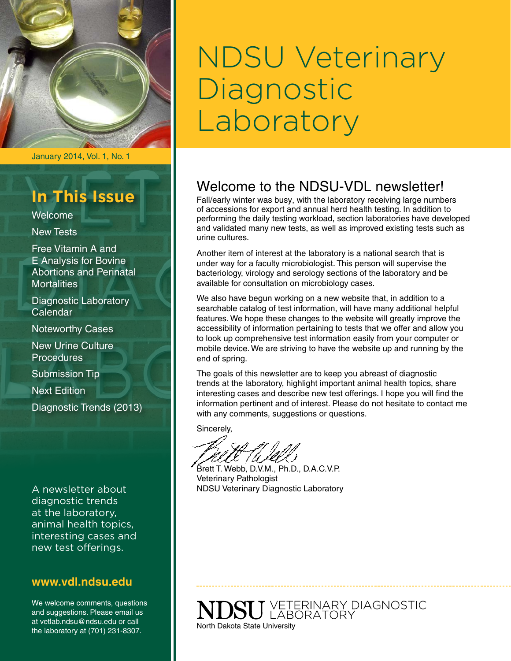

## **In This Issue**

Welcome

New Tests

Free Vitamin A and E Analysis for Bovine Abortions and Perinatal **Mortalities** 

Diagnostic Laboratory Calendar

Noteworthy Cases

New Urine Culture **Procedures** 

Submission Tip

Next Edition

Diagnostic Trends (2013)

A newsletter about diagnostic trends at the laboratory, animal health topics, interesting cases and new test offerings.

#### **[www.vdl.ndsu.edu](file:///C:\Users\david.haasser\AppData\Local\Microsoft\Windows\Temporary%20Internet%20Files\Content.Outlook\2SAH4N2J\www.ag.ndsu.edu\ansc\)**

We welcome comments, questions and suggestions. Please email us at vetlab.ndsu@ndsu.edu or call the laboratory at (701) 231-8307.

# NDSU Veterinary Diagnostic Laboratory

## Welcome to the NDSU-VDL newsletter!

Fall/early winter was busy, with the laboratory receiving large numbers of accessions for export and annual herd health testing. In addition to performing the daily testing workload, section laboratories have developed and validated many new tests, as well as improved existing tests such as urine cultures.

Another item of interest at the laboratory is a national search that is under way for a faculty microbiologist. This person will supervise the bacteriology, virology and serology sections of the laboratory and be available for consultation on microbiology cases.

We also have begun working on a new website that, in addition to a searchable catalog of test information, will have many additional helpful features. We hope these changes to the website will greatly improve the accessibility of information pertaining to tests that we offer and allow you to look up comprehensive test information easily from your computer or mobile device. We are striving to have the website up and running by the end of spring.

The goals of this newsletter are to keep you abreast of diagnostic trends at the laboratory, highlight important animal health topics, share interesting cases and describe new test offerings. I hope you will find the information pertinent and of interest. Please do not hesitate to contact me with any comments, suggestions or questions.

Sincerely,

Brett T. Webb, D.V.M., Ph.D., D.A.C.V.P. Veterinary Pathologist NDSU Veterinary Diagnostic Laboratory

**SU** VETERINARY DIAGNOSTIC North Dakota State University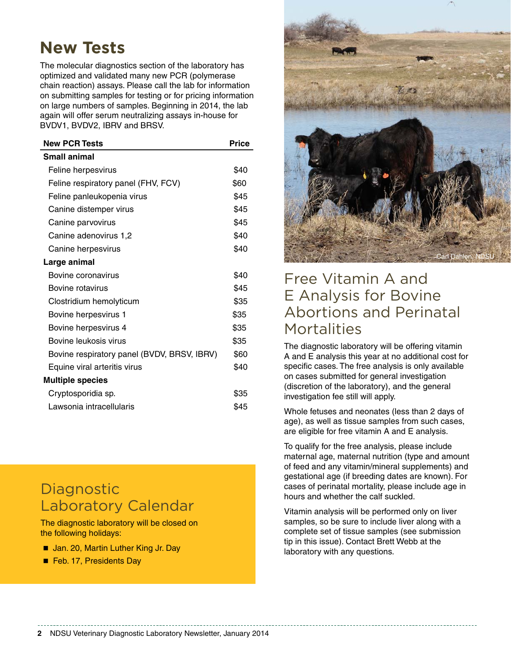## **New Tests**

The molecular diagnostics section of the laboratory has optimized and validated many new PCR (polymerase chain reaction) assays. Please call the lab for information on submitting samples for testing or for pricing information on large numbers of samples. Beginning in 2014, the lab again will offer serum neutralizing assays in-house for BVDV1, BVDV2, IBRV and BRSV.

| <b>New PCR Tests</b>                        | <b>Price</b> |
|---------------------------------------------|--------------|
| <b>Small animal</b>                         |              |
| Feline herpesvirus                          | \$40         |
| Feline respiratory panel (FHV, FCV)         | \$60         |
| Feline panleukopenia virus                  | \$45         |
| Canine distemper virus                      | \$45         |
| Canine parvovirus                           | \$45         |
| Canine adenovirus 1,2                       | \$40         |
| Canine herpesvirus                          | \$40         |
| Large animal                                |              |
| Bovine coronavirus                          | \$40         |
| Bovine rotavirus                            | \$45         |
| Clostridium hemolyticum                     | \$35         |
| Bovine herpesvirus 1                        | \$35         |
| Bovine herpesvirus 4                        | \$35         |
| Bovine leukosis virus                       | \$35         |
| Bovine respiratory panel (BVDV, BRSV, IBRV) | \$60         |
| Equine viral arteritis virus                | \$40         |
| <b>Multiple species</b>                     |              |
| Cryptosporidia sp.                          | \$35         |
| Lawsonia intracellularis                    | \$45         |

## **Diagnostic** Laboratory Calendar

The diagnostic laboratory will be closed on the following holidays:

- Jan. 20, Martin Luther King Jr. Day
- Feb. 17, Presidents Day



## Free Vitamin A and E Analysis for Bovine Abortions and Perinatal **Mortalities**

The diagnostic laboratory will be offering vitamin A and E analysis this year at no additional cost for specific cases. The free analysis is only available on cases submitted for general investigation (discretion of the laboratory), and the general investigation fee still will apply.

Whole fetuses and neonates (less than 2 days of age), as well as tissue samples from such cases, are eligible for free vitamin A and E analysis.

To qualify for the free analysis, please include maternal age, maternal nutrition (type and amount of feed and any vitamin/mineral supplements) and gestational age (if breeding dates are known). For cases of perinatal mortality, please include age in hours and whether the calf suckled.

Vitamin analysis will be performed only on liver samples, so be sure to include liver along with a complete set of tissue samples (see submission tip in this issue). Contact Brett Webb at the laboratory with any questions.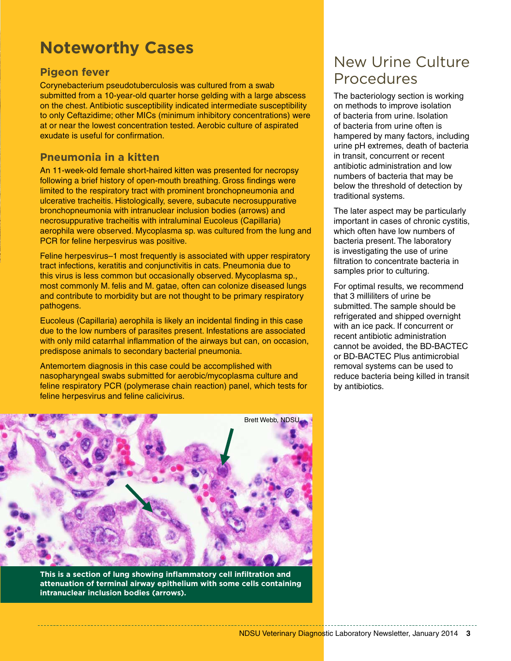# **Noteworthy Cases**

#### **Pigeon fever**

Corynebacterium pseudotuberculosis was cultured from a swab submitted from a 10-year-old quarter horse gelding with a large abscess on the chest. Antibiotic susceptibility indicated intermediate susceptibility to only Ceftazidime; other MICs (minimum inhibitory concentrations) were at or near the lowest concentration tested. Aerobic culture of aspirated exudate is useful for confirmation.

#### **Pneumonia in a kitten**

An 11-week-old female short-haired kitten was presented for necropsy following a brief history of open-mouth breathing. Gross findings were limited to the respiratory tract with prominent bronchopneumonia and ulcerative tracheitis. Histologically, severe, subacute necrosuppurative bronchopneumonia with intranuclear inclusion bodies (arrows) and necrosuppurative tracheitis with intraluminal Eucoleus (Capillaria) aerophila were observed. Mycoplasma sp. was cultured from the lung and PCR for feline herpesvirus was positive.

Feline herpesvirus–1 most frequently is associated with upper respiratory tract infections, keratitis and conjunctivitis in cats. Pneumonia due to this virus is less common but occasionally observed. Mycoplasma sp., most commonly M. felis and M. gatae, often can colonize diseased lungs and contribute to morbidity but are not thought to be primary respiratory pathogens.

Eucoleus (Capillaria) aerophila is likely an incidental finding in this case due to the low numbers of parasites present. Infestations are associated with only mild catarrhal inflammation of the airways but can, on occasion, predispose animals to secondary bacterial pneumonia.

Antemortem diagnosis in this case could be accomplished with nasopharyngeal swabs submitted for aerobic/mycoplasma culture and feline respiratory PCR (polymerase chain reaction) panel, which tests for feline herpesvirus and feline calicivirus.



**This is a section of lung showing inflammatory cell infiltration and attenuation of terminal airway epithelium with some cells containing intranuclear inclusion bodies (arrows).**

## New Urine Culture Procedures

The bacteriology section is working on methods to improve isolation of bacteria from urine. Isolation of bacteria from urine often is hampered by many factors, including urine pH extremes, death of bacteria in transit, concurrent or recent antibiotic administration and low numbers of bacteria that may be below the threshold of detection by traditional systems.

The later aspect may be particularly important in cases of chronic cystitis, which often have low numbers of bacteria present. The laboratory is investigating the use of urine filtration to concentrate bacteria in samples prior to culturing.

For optimal results, we recommend that 3 milliliters of urine be submitted. The sample should be refrigerated and shipped overnight with an ice pack. If concurrent or recent antibiotic administration cannot be avoided, the BD-BACTEC or BD-BACTEC Plus antimicrobial removal systems can be used to reduce bacteria being killed in transit by antibiotics.